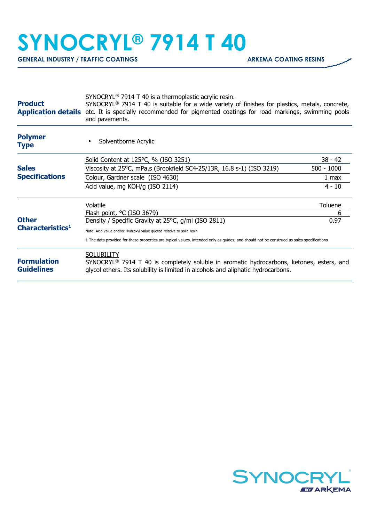## **SYNOCRYL® 7914 T 40**

GENERAL INDUSTRY / TRAFFIC COATINGS **ARKEMA COATING RESINS** 

| <b>Product</b>                                                                        | SYNOCRYL <sup>®</sup> 7914 T 40 is a thermoplastic acrylic resin.<br>SYNOCRYL <sup>®</sup> 7914 T 40 is suitable for a wide variety of finishes for plastics, metals, concrete,<br><b>Application details</b> etc. It is specially recommended for pigmented coatings for road markings, swimming pools<br>and pavements. |              |  |
|---------------------------------------------------------------------------------------|---------------------------------------------------------------------------------------------------------------------------------------------------------------------------------------------------------------------------------------------------------------------------------------------------------------------------|--------------|--|
| <b>Polymer</b><br><b>Type</b>                                                         | Solventborne Acrylic                                                                                                                                                                                                                                                                                                      |              |  |
|                                                                                       | Solid Content at 125°C, % (ISO 3251)                                                                                                                                                                                                                                                                                      | 38 - 42      |  |
| <b>Sales</b><br><b>Specifications</b><br><b>Other</b><br>Characteristics <sup>1</sup> | Viscosity at 25°C, mPa.s (Brookfield SC4-25/13R, 16.8 s-1) (ISO 3219)                                                                                                                                                                                                                                                     | $500 - 1000$ |  |
|                                                                                       | Colour, Gardner scale (ISO 4630)                                                                                                                                                                                                                                                                                          | 1 max        |  |
|                                                                                       | Acid value, mg KOH/g (ISO 2114)                                                                                                                                                                                                                                                                                           | $4 - 10$     |  |
|                                                                                       | Volatile                                                                                                                                                                                                                                                                                                                  | Toluene      |  |
|                                                                                       | Flash point, °C (ISO 3679)                                                                                                                                                                                                                                                                                                | 6            |  |
|                                                                                       | Density / Specific Gravity at 25°C, g/ml (ISO 2811)                                                                                                                                                                                                                                                                       | 0.97         |  |
|                                                                                       | Note: Acid value and/or Hydroxyl value quoted relative to solid resin                                                                                                                                                                                                                                                     |              |  |
|                                                                                       | 1 The data provided for these properties are typical values, intended only as guides, and should not be construed as sales specifications                                                                                                                                                                                 |              |  |
| <b>Formulation</b><br><b>Guidelines</b>                                               | <b>SOLUBILITY</b><br>$SYNOCRYL®$ 7914 T 40 is completely soluble in aromatic hydrocarbons, ketones, esters, and<br>glycol ethers. Its solubility is limited in alcohols and aliphatic hydrocarbons.                                                                                                                       |              |  |